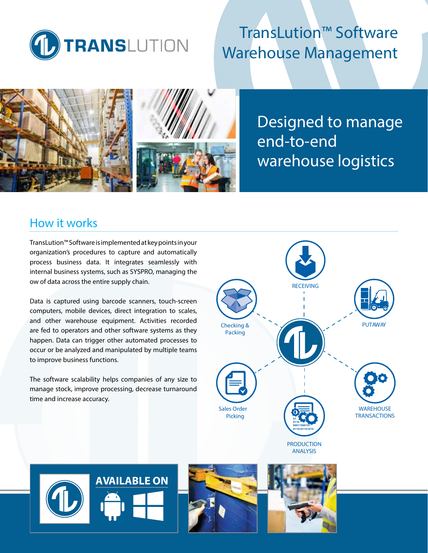

# TransLution™ Software Warehouse Management





Designed to manage end-to-end warehouse logistics

## How it works

TransLution™ Software is implemented at key points in your organization's procedures to capture and automatically process business data. It integrates seamlessly with internal business systems, such as SYSPRO, managing the ow of data across the entire supply chain.

Data is captured using barcode scanners, touch-screen computers, mobile devices, direct integration to scales, and other warehouse equipment. Activities recorded are fed to operators and other software systems as they happen. Data can trigger other automated processes to occur or be analyzed and manipulated by multiple teams to improve business functions.

The software scalability helps companies of any size to manage stock, improve processing, decrease turnaround time and increase accuracy.







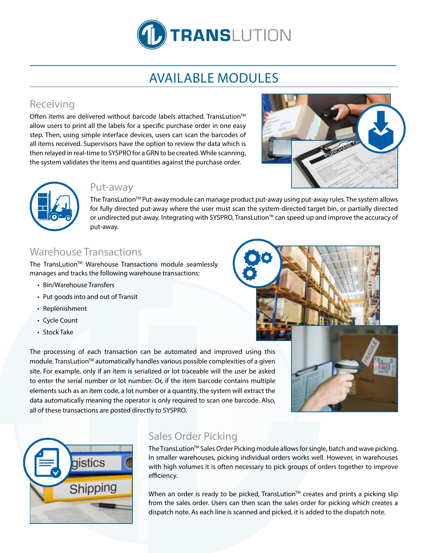

# AVAILABLE MODULES

## Receiving

Often items are delivered without barcode labels attached. TransLution<sup>™</sup> allow users to print all the labels for a specific purchase order in one easy step. Then, using simple interface devices, users can scan the barcodes of all items received. Supervisors have the option to review the data which is then relayed in real-time to SYSPRO for a GRN to be created. While scanning, the system validates the items and quantities against the purchase order.





### Put-away

The TransLution™ Put-away module can manage product put-away using put-away rules. The system allows for fully directed put-away where the user must scan the system-directed target bin, or partially directed or undirected put-away. Integrating with SYSPRO, TransLution™ can speed up and improve the accuracy of put-away.

## Warehouse Transactions

The TransLution™ Warehouse Transactions module seamlessly manages and tracks the following warehouse transactions:

- Bin/Warehouse Transfers
- Put goods into and out of Transit
- Replenishment
- Cycle Count
- Stock Take

The processing of each transaction can be automated and improved using this module. TransLution™ automatically handles various possible complexities of a given site. For example, only if an item is serialized or lot traceable will the user be asked to enter the serial number or lot number. Or, if the item barcode contains multiple elements such as an item code, a lot number or a quantity, the system will extract the data automatically meaning the operator is only required to scan one barcode. Also, all of these transactions are posted directly to SYSPRO.





## Sales Order Picking

The TransLution™ Sales Order Picking module allows for single, batch and wave picking. In smaller warehouses, picking individual orders works well. However, in warehouses with high volumes it is often necessary to pick groups of orders together to improve efficiency.

When an order is ready to be picked, TransLution™ creates and prints a picking slip from the sales order. Users can then scan the sales order for picking which creates a dispatch note. As each line is scanned and picked, it is added to the dispatch note.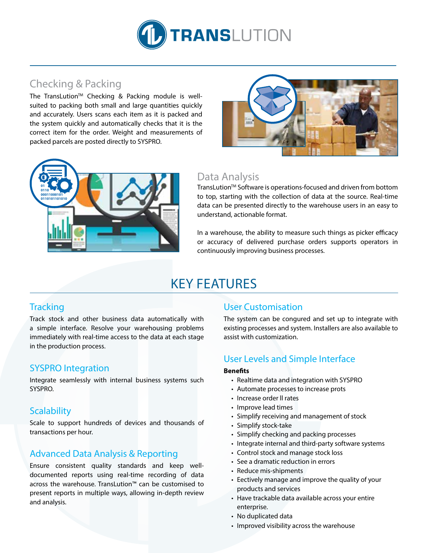

## Checking & Packing

The TransLution™ Checking & Packing module is wellsuited to packing both small and large quantities quickly and accurately. Users scans each item as it is packed and the system quickly and automatically checks that it is the correct item for the order. Weight and measurements of packed parcels are posted directly to SYSPRO.





## Data Analysis

TransLution™ Software is operations-focused and driven from bottom to top, starting with the collection of data at the source. Real-time data can be presented directly to the warehouse users in an easy to understand, actionable format.

In a warehouse, the ability to measure such things as picker efficacy or accuracy of delivered purchase orders supports operators in continuously improving business processes.

# KEY FEATURES

#### **Tracking**

Track stock and other business data automatically with a simple interface. Resolve your warehousing problems immediately with real-time access to the data at each stage in the production process.

#### SYSPRO Integration

Integrate seamlessly with internal business systems such SYSPRO.

### **Scalability**

Scale to support hundreds of devices and thousands of transactions per hour.

### Advanced Data Analysis & Reporting

Ensure consistent quality standards and keep welldocumented reports using real-time recording of data across the warehouse. TransLution™ can be customised to present reports in multiple ways, allowing in-depth review and analysis.

#### User Customisation

The system can be congured and set up to integrate with existing processes and system. Installers are also available to assist with customization.

### User Levels and Simple Interface

#### **Benefits**

- Realtime data and integration with SYSPRO
- Automate processes to increase prots
- Increase order ll rates
- Improve lead times
- Simplify receiving and management of stock
- Simplify stock-take
- Simplify checking and packing processes
- Integrate internal and third-party software systems
- Control stock and manage stock loss
- See a dramatic reduction in errors
- Reduce mis-shipments
- Eectively manage and improve the quality of your products and services
- Have trackable data available across your entire enterprise.
- No duplicated data
- Improved visibility across the warehouse